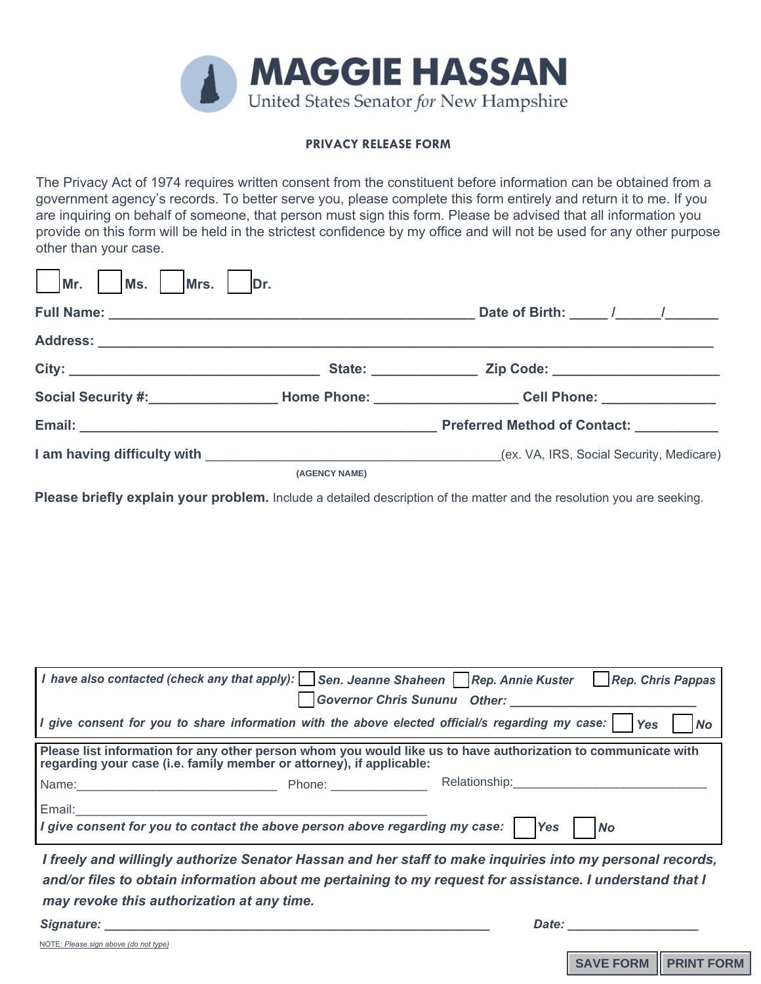

## **PRIVACY RELEASE FORM**

The Privacy Act of 1974 requires written consent from the constituent before information can be obtained from a government agency's records. To better serve you, please complete this form entirely and return it to me. If you are inquiring on behalf of someone, that person must sign this form. Please be advised that all information you provide on this form will be held in the strictest confidence by my office and will not be used for any other purpose other than your case.

| Mr.<br>Mrs.<br>Ms. | Dr.           |                                                              |
|--------------------|---------------|--------------------------------------------------------------|
|                    |               | Date of Birth: _____ /______ /_______                        |
|                    |               |                                                              |
|                    |               |                                                              |
|                    |               | Social Security #: Nome Phone: Nome Phone: North Cell Phone: |
|                    |               | <b>Preferred Method of Contact:</b>                          |
|                    |               |                                                              |
|                    | (AGENCY NAME) |                                                              |

**Please briefly explain your problem.** Include a detailed description of the matter and the resolution you are seeking.

|                                                                                                                                                                                       |  | I have also contacted (check any that apply): Sen. Jeanne Shaheen Rep. Annie Kuster Rep. Chris Pappas                                         |  |  |  |
|---------------------------------------------------------------------------------------------------------------------------------------------------------------------------------------|--|-----------------------------------------------------------------------------------------------------------------------------------------------|--|--|--|
|                                                                                                                                                                                       |  | <b>Governor Chris Sununu Other:</b>                                                                                                           |  |  |  |
|                                                                                                                                                                                       |  | I give consent for you to share information with the above elected official/s regarding my case: $\bigcap_{\text{Yes}}$ $\bigcap_{\text{No}}$ |  |  |  |
| Please list information for any other person whom you would like us to have authorization to communicate with<br>regarding your case (i.e. family member or attorney), if applicable: |  |                                                                                                                                               |  |  |  |
|                                                                                                                                                                                       |  | Relationship: National Property of the Relationship:                                                                                          |  |  |  |
| Email:<br><u> 1989 - John Stein, Amerikaansk politiker (* 1918)</u>                                                                                                                   |  | I give consent for you to contact the above person above regarding my case: $ $  Yes    No                                                    |  |  |  |
|                                                                                                                                                                                       |  |                                                                                                                                               |  |  |  |

*I freely and willingly authorize Senator Hassan and her staff to make inquiries into my personal records, and/or files to obtain information about me pertaining to my request for assistance. I understand that I may revoke this authorization at any time.* 

| Signature: | Date. |  |
|------------|-------|--|
|            |       |  |